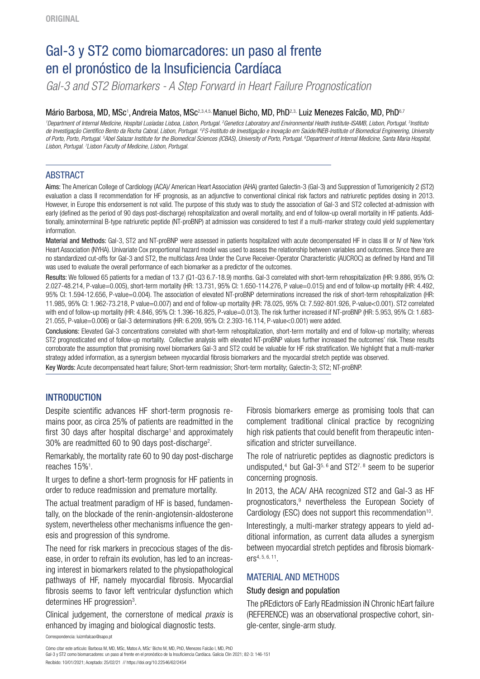# Gal-3 y ST2 como biomarcadores: un paso al frente en el pronóstico de la Insuficiencia Cardíaca

*Gal-3 and ST2 Biomarkers - A Step Forward in Heart Failure Prognostication* 

### Mário Barbosa, MD, MSc<sup>1</sup>, Andreia Matos, MSc<sup>2,3,4,5,</sup> Manuel Bicho, MD, PhD<sup>2,3,</sup> Luiz Menezes Falcão, MD, PhD<sup>6,7</sup>

*1 Department of Internal Medicine, Hospital Lusíadas Lisboa, Lisbon, Portugal. 2 Genetics Laboratory and Environmental Health Institute-ISAMB, Lisbon, Portugal. 3 Instituto*  de Investigação Científico Bento da Rocha Cabral, Lisbon, Portugal. <sup>4</sup>i<sup>p</sup>S-Instituto de Investigação e Inovação em Saúde/INEB-Institute of Biomedical Engineering, University *i of Porto, Porto, Portugal. 5 Abel Salazar Institute for the Biomedical Sciences (ICBAS), University of Porto, Portugal. 6 Department of Internal Medicine, Santa Maria Hospital,*  Lisbon, Portugal. <sup>7</sup>Lisbon Faculty of Medicine, Lisbon, Portugal.

# ABSTRACT

Aims: The American College of Cardiology (ACA)/ American Heart Association (AHA) granted Galectin-3 (Gal-3) and Suppression of Tumorigenicity 2 (ST2) evaluation a class II recommendation for HF prognosis, as an adjunctive to conventional clinical risk factors and natriuretic peptides dosing in 2013. However, in Europe this endorsement is not valid. The purpose of this study was to study the association of Gal-3 and ST2 collected at-admission with early (defined as the period of 90 days post-discharge) rehospitalization and overall mortality, and end of follow-up overall mortality in HF patients. Additionally, aminoterminal B-type natriuretic peptide (NT-proBNP) at admission was considered to test if a multi-marker strategy could yield supplementary information.

Material and Methods: Gal-3, ST2 and NT-proBNP were assessed in patients hospitalized with acute decompensated HF in class III or IV of New York Heart Association (NYHA). Univariate Cox proportional hazard model was used to assess the relationship between variables and outcomes. Since there are no standardized cut-offs for Gal-3 and ST2, the multiclass Area Under the Curve Receiver-Operator Characteristic (AUCROC) as defined by Hand and Till was used to evaluate the overall performance of each biomarker as a predictor of the outcomes.

Results: We followed 65 patients for a median of 13.7 (Q1-Q3 6.7-18.9) months. Gal-3 correlated with short-term rehospitalization (HR: 9.886, 95% CI: 2.027-48.214, P-value=0.005), short-term mortality (HR: 13.731, 95% CI: 1.650-114.276, P value=0.015) and end of follow-up mortality (HR: 4.492, 95% CI: 1.594-12.656, P-value=0.004). The association of elevated NT-proBNP determinations increased the risk of short-term rehospitalization (HR: 11.985, 95% CI: 1.962-73.218, P value=0.007) and end of follow-up mortality (HR: 78.025, 95% CI: 7.592-801.926, P-value<0.001). ST2 correlated with end of follow-up mortality (HR: 4.846, 95% CI: 1.396-16.825, P-value=0.013). The risk further increased if NT-proBNP (HR: 5.953, 95% CI: 1.683- 21.055, P-value=0.006) or Gal-3 determinations (HR: 6.209, 95% CI: 2.393-16.114, P-value<0.001) were added.

Conclusions: Elevated Gal-3 concentrations correlated with short-term rehospitalization, short-term mortality and end of follow-up mortality; whereas ST2 prognosticated end of follow-up mortality. Collective analysis with elevated NT-proBNP values further increased the outcomes' risk. These results corroborate the assumption that promising novel biomarkers Gal-3 and ST2 could be valuable for HF risk stratification. We highlight that a multi-marker strategy added information, as a synergism between myocardial fibrosis biomarkers and the myocardial stretch peptide was observed.

Key Words: Acute decompensated heart failure; Short-term readmission; Short-term mortality; Galectin-3; ST2; NT-proBNP.

# INTRODUCTION

Despite scientific advances HF short-term prognosis remains poor, as circa 25% of patients are readmitted in the first 30 days after hospital discharge<sup>1</sup> and approximately 30% are readmitted 60 to 90 days post-discharge<sup>2</sup>.

Remarkably, the mortality rate 60 to 90 day post-discharge reaches 15%<sup>1</sup>.

It urges to define a short-term prognosis for HF patients in order to reduce readmission and premature mortality.

The actual treatment paradigm of HF is based, fundamentally, on the blockade of the renin-angiotensin-aldosterone system, nevertheless other mechanisms influence the genesis and progression of this syndrome.

The need for risk markers in precocious stages of the disease, in order to refrain its evolution, has led to an increasing interest in biomarkers related to the physiopathological pathways of HF, namely myocardial fibrosis. Myocardial fibrosis seems to favor left ventricular dysfunction which determines HF progression<sup>3</sup>.

Clinical judgement, the cornerstone of medical *praxis* is enhanced by imaging and biological diagnostic tests.

Fibrosis biomarkers emerge as promising tools that can complement traditional clinical practice by recognizing high risk patients that could benefit from therapeutic intensification and stricter surveillance.

The role of natriuretic peptides as diagnostic predictors is undisputed,<sup>4</sup> but Gal-3<sup>5, 6</sup> and ST2<sup>7, 8</sup> seem to be superior concerning prognosis.

In 2013, the ACA/ AHA recognized ST2 and Gal-3 as HF prognosticators,<sup>9</sup> nevertheless the European Society of Cardiology (ESC) does not support this recommendation<sup>10</sup>.

Interestingly, a multi-marker strategy appears to yield additional information, as current data alludes a synergism between myocardial stretch peptides and fibrosis biomarkers4, 5, 6, 11.

# MATERIAL AND METHODS

#### Study design and population

The pREdictors oF Early REadmission iN Chronic hEart failure (REFERENCE) was an observational prospective cohort, single-center, single-arm study.

Correspondencia: [luizmfalcao@sapo.pt](mailto:luizmfalcao@sapo.pt)

Cómo citar este artículo: Barbosa M, MD, MSc, Matos A, MSc, Bicho M, MD, PhD, Menezes Falcão l, MD, PhD Gal-3 y ST2 como biomarcadores: un paso al frente en el pronóstico de la Insuficiencia Cardíaca. Galicia Clin 2021; 82-3: 146-151 Recibido: 10/01/2021; Aceptado: 25/02/21 // https://doi.org/10.22546/62/2454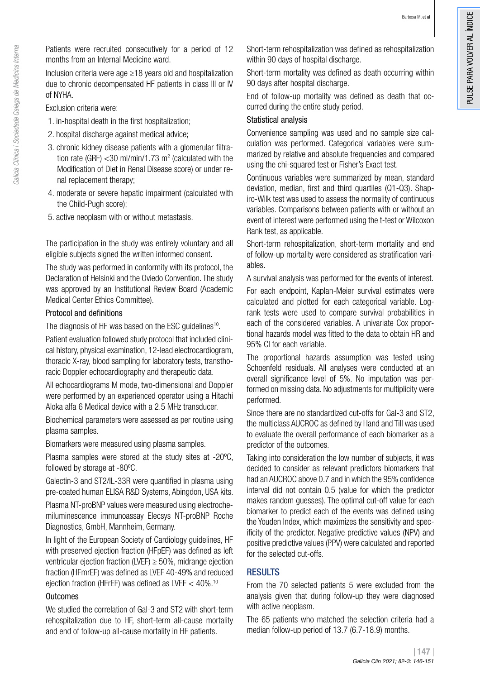Patients were recruited consecutively for a period of 12 months from an Internal Medicine ward.

Inclusion criteria were age ≥18 years old and hospitalization due to chronic decompensated HF patients in class III or IV of NYHA.

Exclusion criteria were:

- 1. in-hospital death in the first hospitalization;
- 2. hospital discharge against medical advice;
- 3. chronic kidney disease patients with a glomerular filtration rate (GRF)  $<$  30 ml/min/1.73 m<sup>2</sup> (calculated with the Modification of Diet in Renal Disease score) or under renal replacement therapy;
- 4. moderate or severe hepatic impairment (calculated with the Child-Pugh score);
- 5. active neoplasm with or without metastasis.

The participation in the study was entirely voluntary and all eligible subjects signed the written informed consent.

The study was performed in conformity with its protocol, the Declaration of Helsinki and the Oviedo Convention. The study was approved by an Institutional Review Board (Academic Medical Center Ethics Committee).

## Protocol and definitions

The diagnosis of HF was based on the ESC guidelines<sup>10</sup>.

Patient evaluation followed study protocol that included clinical history, physical examination, 12-lead electrocardiogram, thoracic X-ray, blood sampling for laboratory tests, transthoracic Doppler echocardiography and therapeutic data.

All echocardiograms M mode, two-dimensional and Doppler were performed by an experienced operator using a Hitachi Aloka alfa 6 Medical device with a 2.5 MHz transducer.

Biochemical parameters were assessed as per routine using plasma samples.

Biomarkers were measured using plasma samples.

Plasma samples were stored at the study sites at -20ºC, followed by storage at -80ºC.

Galectin-3 and ST2/IL-33R were quantified in plasma using pre-coated human ELISA R&D Systems, Abingdon, USA kits.

Plasma NT-proBNP values were measured using electrochemiluminescence immunoassay Elecsys NT-proBNP Roche Diagnostics, GmbH, Mannheim, Germany.

In light of the European Society of Cardiology guidelines, HF with preserved ejection fraction (HFpEF) was defined as left ventricular ejection fraction (LVEF)  $\geq$  50%, midrange ejection fraction (HFmrEF) was defined as LVEF 40-49% and reduced ejection fraction (HFrEF) was defined as LVEF  $<$  40%.<sup>10</sup>

# **Outcomes**

We studied the correlation of Gal-3 and ST2 with short-term rehospitalization due to HF, short-term all-cause mortality and end of follow-up all-cause mortality in HF patients.

Short-term rehospitalization was defined as rehospitalization within 90 days of hospital discharge.

Short-term mortality was defined as death occurring within 90 days after hospital discharge.

End of follow-up mortality was defined as death that occurred during the entire study period.

## Statistical analysis

Convenience sampling was used and no sample size calculation was performed. Categorical variables were summarized by relative and absolute frequencies and compared using the chi-squared test or Fisher's Exact test.

Continuous variables were summarized by mean, standard deviation, median, first and third quartiles (Q1-Q3). Shapiro-Wilk test was used to assess the normality of continuous variables. Comparisons between patients with or without an event of interest were performed using the t-test or Wilcoxon Rank test, as applicable.

Short-term rehospitalization, short-term mortality and end of follow-up mortality were considered as stratification variables.

A survival analysis was performed for the events of interest.

For each endpoint, Kaplan-Meier survival estimates were calculated and plotted for each categorical variable. Logrank tests were used to compare survival probabilities in each of the considered variables. A univariate Cox proportional hazards model was fitted to the data to obtain HR and 95% CI for each variable.

The proportional hazards assumption was tested using Schoenfeld residuals. All analyses were conducted at an overall significance level of 5%. No imputation was performed on missing data. No adjustments for multiplicity were performed.

Since there are no standardized cut-offs for Gal-3 and ST2, the multiclass AUCROC as defined by Hand and Till was used to evaluate the overall performance of each biomarker as a predictor of the outcomes.

Taking into consideration the low number of subjects, it was decided to consider as relevant predictors biomarkers that had an AUCROC above 0.7 and in which the 95% confidence interval did not contain 0.5 (value for which the predictor makes random guesses). The optimal cut-off value for each biomarker to predict each of the events was defined using the Youden Index, which maximizes the sensitivity and specificity of the predictor. Negative predictive values (NPV) and positive predictive values (PPV) were calculated and reported for the selected cut-offs.

# RESULTS

From the 70 selected patients 5 were excluded from the analysis given that during follow-up they were diagnosed with active neoplasm.

The 65 patients who matched the selection criteria had a median follow-up period of 13.7 (6.7-18.9) months.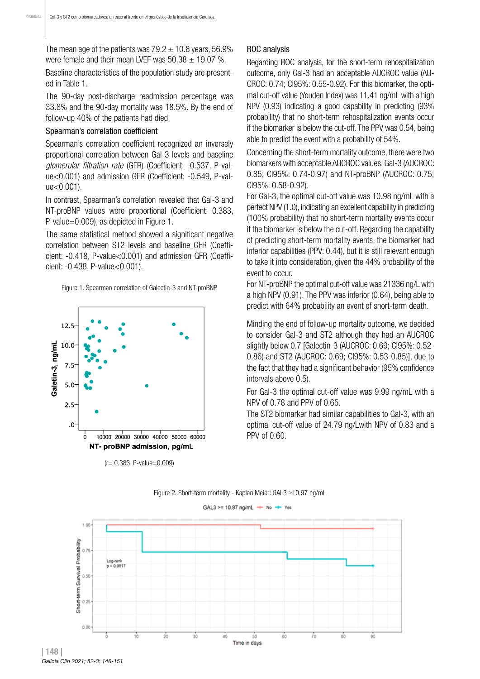The mean age of the patients was  $79.2 \pm 10.8$  years, 56.9% were female and their mean LVEF was  $50.38 \pm 19.07$  %.

Baseline characteristics of the population study are presented in Table 1.

The 90-day post-discharge readmission percentage was 33.8% and the 90-day mortality was 18.5%. By the end of follow-up 40% of the patients had died.

#### Spearman's correlation coefficient

Spearman's correlation coefficient recognized an inversely proportional correlation between Gal-3 levels and baseline *glomerular filtration rate* (GFR) (Coefficient: -0.537, P-value<0.001) and admission GFR (Coefficient: -0.549, P-value<0.001).

In contrast, Spearman's correlation revealed that Gal-3 and NT-proBNP values were proportional (Coefficient: 0.383, P-value=0.009), as depicted in Figure 1.

The same statistical method showed a significant negative correlation between ST2 levels and baseline GFR (Coefficient: -0.418, P-value<0.001) and admission GFR (Coefficient: -0.438, P-value<0.001).

Figure 1. Spearman correlation of Galectin-3 and NT-proBNP



(r= 0.383, P-value=0.009)

#### ROC analysis

Regarding ROC analysis, for the short-term rehospitalization outcome, only Gal-3 had an acceptable AUCROC value (AU-CROC: 0.74; CI95%: 0.55-0.92). For this biomarker, the optimal cut-off value (Youden Index) was 11.41 ng/mL with a high NPV (0.93) indicating a good capability in predicting (93% probability) that no short-term rehospitalization events occur if the biomarker is below the cut-off. The PPV was 0.54, being able to predict the event with a probability of 54%.

Concerning the short-term mortality outcome, there were two biomarkers with acceptable AUCROC values, Gal-3 (AUCROC: 0.85; CI95%: 0.74-0.97) and NT-proBNP (AUCROC: 0.75; CI95%: 0.58-0.92).

For Gal-3, the optimal cut-off value was 10.98 ng/mL with a perfect NPV (1.0), indicating an excellent capability in predicting (100% probability) that no short-term mortality events occur if the biomarker is below the cut-off. Regarding the capability of predicting short-term mortality events, the biomarker had inferior capabilities (PPV: 0.44), but it is still relevant enough to take it into consideration, given the 44% probability of the event to occur.

For NT-proBNP the optimal cut-off value was 21336 ng/L with a high NPV (0.91). The PPV was inferior (0.64), being able to predict with 64% probability an event of short-term death.

Minding the end of follow-up mortality outcome, we decided to consider Gal-3 and ST2 although they had an AUCROC slightly below 0.7 [Galectin-3 (AUCROC: 0.69; CI95%: 0.52- 0.86) and ST2 (AUCROC: 0.69; CI95%: 0.53-0.85)], due to the fact that they had a significant behavior (95% confidence intervals above 0.5).

For Gal-3 the optimal cut-off value was 9.99 ng/mL with a NPV of 0.78 and PPV of 0.65.

The ST2 biomarker had similar capabilities to Gal-3, with an optimal cut-off value of 24.79 ng/Lwith NPV of 0.83 and a PPV of 0.60.



Figure 2. Short-term mortality - Kaplan Meier: GAL3 ≥10.97 ng/mL

GAL3 >= 10.97 ng/mL  $+$  No  $+$  Yes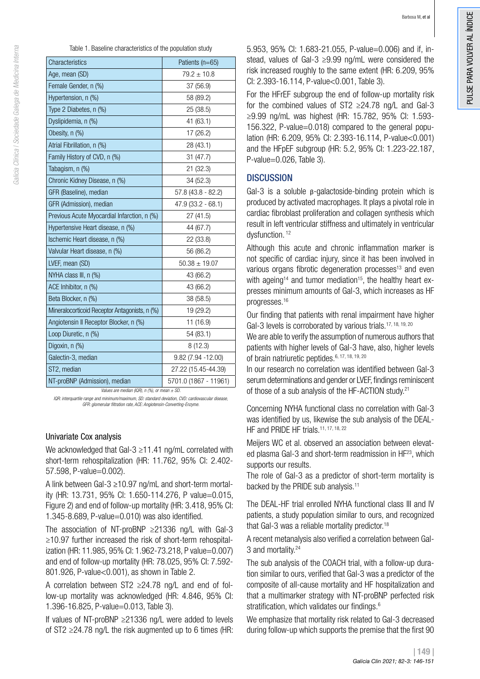talicia Clínica / Sociedade Galega de Medicina Interna *Galicia Clínica | Sociedade Galega de Medicina Interna*

| Table 1. Baseline characteristics of the population study |
|-----------------------------------------------------------|
|-----------------------------------------------------------|

| Characteristics                                                            | Patients (n=65)             |  |  |
|----------------------------------------------------------------------------|-----------------------------|--|--|
| Age, mean (SD)                                                             | $79.2 \pm 10.8$             |  |  |
| Female Gender, n (%)                                                       | 37 (56.9)                   |  |  |
| Hypertension, n (%)                                                        | 58 (89.2)                   |  |  |
| Type 2 Diabetes, n (%)                                                     | 25 (38.5)                   |  |  |
| Dyslipidemia, n (%)                                                        | 41 (63.1)                   |  |  |
| Obesity, n (%)                                                             | 17 (26.2)                   |  |  |
| Atrial Fibrillation, n (%)                                                 | 28 (43.1)                   |  |  |
| Family History of CVD, n (%)                                               | 31 (47.7)                   |  |  |
| Tabagism, n (%)                                                            | 21 (32.3)                   |  |  |
| Chronic Kidney Disease, n (%)                                              | 34 (52.3)                   |  |  |
| GFR (Baseline), median                                                     | 57.8 (43.8 - 82.2)          |  |  |
| GFR (Admission), median                                                    | 47.9 (33.2 - 68.1)          |  |  |
| Previous Acute Myocardial Infarction, n (%)                                | 27 (41.5)                   |  |  |
| Hypertensive Heart disease, n (%)                                          | 44 (67.7)                   |  |  |
| Ischemic Heart disease, n (%)                                              | 22 (33.8)                   |  |  |
| Valvular Heart disease, n (%)                                              | 56 (86.2)                   |  |  |
| LVEF, mean (SD)                                                            | $50.38 \pm 19.07$           |  |  |
| NYHA class III, n (%)                                                      | 43 (66.2)                   |  |  |
| ACE Inhibitor, n (%)                                                       | 43 (66.2)                   |  |  |
| Beta Blocker, n (%)                                                        | 38 (58.5)                   |  |  |
| Mineralocorticoid Receptor Antagonists, n (%)                              | 19 (29.2)                   |  |  |
| Angiotensin II Receptor Blocker, n (%)                                     | 11 (16.9)                   |  |  |
| Loop Diuretic, n (%)                                                       | 54 (83.1)                   |  |  |
| Digoxin, n (%)                                                             | 8(12.3)                     |  |  |
| Galectin-3, median                                                         | 9.82 (7.94 -12.00)          |  |  |
| ST2, median                                                                | 27.22 (15.45-44.39)         |  |  |
| NT-proBNP (Admission), median<br>$(00 \text{ N})$ $(0)$<br>Values are more | 5701.0 (1867 - 11961)<br>CD |  |  |

*Values are median (IQR), n (%), or mean ± SD.* 

*IQR: interquartile range and minimum/maximum, SD: standard deviation, CVD: cardiovascular disease, GFR: glomerular filtration rate, ACE: Angiotensin-Converting-Enzyme.*

#### Univariate Cox analysis

We acknowledged that Gal-3 ≥11.41 ng/mL correlated with short-term rehospitalization (HR: 11.762, 95% CI: 2.402- 57.598, P-value=0.002).

A link between Gal-3 ≥10.97 ng/mL and short-term mortality (HR: 13.731, 95% CI: 1.650-114.276, P value=0.015, Figure 2) and end of follow-up mortality (HR: 3.418, 95% CI: 1.345-8.689, P-value=0.010) was also identified.

The association of NT-proBNP ≥21336 ng/L with Gal-3 ≥10.97 further increased the risk of short-term rehospitalization (HR: 11.985, 95% CI: 1.962-73.218, P value=0.007) and end of follow-up mortality (HR: 78.025, 95% CI: 7.592- 801.926, P-value<0.001), as shown in Table 2.

A correlation between ST2 ≥24.78 ng/L and end of follow-up mortality was acknowledged (HR: 4.846, 95% CI: 1.396-16.825, P-value=0.013, Table 3).

If values of NT-proBNP ≥21336 ng/L were added to levels of ST2 ≥24.78 ng/L the risk augmented up to 6 times (HR: 5.953, 95% CI: 1.683-21.055, P-value=0.006) and if, instead, values of Gal-3 ≥9.99 ng/mL were considered the risk increased roughly to the same extent (HR: 6.209, 95% CI: 2.393-16.114, P-value<0.001, Table 3).

For the HFrEF subgroup the end of follow-up mortality risk for the combined values of ST2  $\geq$ 24.78 ng/L and Gal-3 ≥9.99 ng/mL was highest (HR: 15.782, 95% CI: 1.593- 156.322, P-value=0.018) compared to the general population (HR: 6.209, 95% CI: 2.393-16.114, P-value<0.001) and the HFpEF subgroup (HR: 5.2, 95% CI: 1.223-22.187, P-value=0.026, Table 3).

# **DISCUSSION**

Gal-3 is a soluble β-galactoside-binding protein which is produced by activated macrophages. It plays a pivotal role in cardiac fibroblast proliferation and collagen synthesis which result in left ventricular stiffness and ultimately in ventricular dysfunction.<sup>12</sup>

Although this acute and chronic inflammation marker is not specific of cardiac injury, since it has been involved in various organs fibrotic degeneration processes<sup>13</sup> and even with ageing<sup>14</sup> and tumor mediation<sup>15</sup>, the healthy heart expresses minimum amounts of Gal-3, which increases as HF progresses.16

Our finding that patients with renal impairment have higher Gal-3 levels is corroborated by various trials.<sup>17, 18, 19, 20</sup>

We are able to verify the assumption of numerous authors that patients with higher levels of Gal-3 have, also, higher levels of brain natriuretic peptides.6, 17, 18, 19, 20

In our research no correlation was identified between Gal-3 serum determinations and gender or LVEF, findings reminiscent of those of a sub analysis of the HF-ACTION study.<sup>21</sup>

Concerning NYHA functional class no correlation with Gal-3 was identified by us, likewise the sub analysis of the DEAL-HF and PRIDE HF trials.<sup>11, 17, 18, 22</sup>

Meijers WC et al. observed an association between elevated plasma Gal-3 and short-term readmission in HF<sup>23</sup>, which supports our results.

The role of Gal-3 as a predictor of short-term mortality is backed by the PRIDE sub analysis.<sup>11</sup>

The DEAL-HF trial enrolled NYHA functional class III and IV patients, a study population similar to ours, and recognized that Gal-3 was a reliable mortality predictor.<sup>18</sup>

A recent metanalysis also verified a correlation between Gal-3 and mortality.24

The sub analysis of the COACH trial, with a follow-up duration similar to ours, verified that Gal-3 was a predictor of the composite of all-cause mortality and HF hospitalization and that a multimarker strategy with NT-proBNP perfected risk stratification, which validates our findings.<sup>6</sup>

We emphasize that mortality risk related to Gal-3 decreased during follow-up which supports the premise that the first 90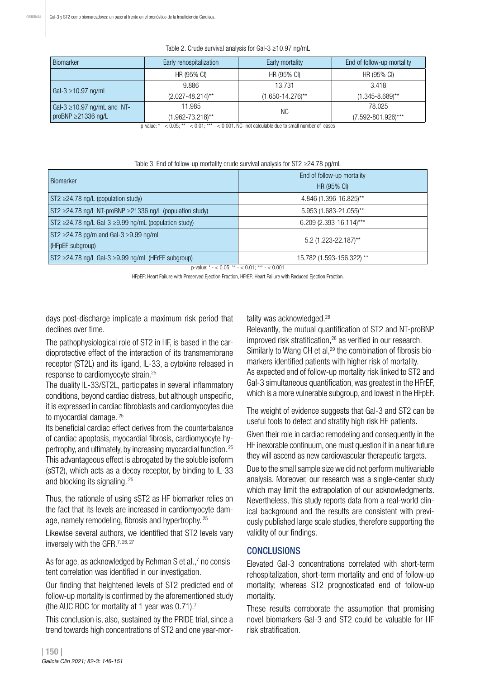| <b>Biomarker</b>                 | Early rehospitalization | Early mortality       | End of follow-up mortality |  |
|----------------------------------|-------------------------|-----------------------|----------------------------|--|
|                                  | HR (95% CI)             | HR (95% CI)           | HR (95% CI)                |  |
| Gal-3 $\ge$ 10.97 ng/mL          | 9.886                   | 13.731                | 3.418                      |  |
|                                  | $(2.027 - 48.214)$ **   | $(1.650 - 14.276)$ ** | $(1.345 - 8.689)$ **       |  |
| Gal-3 $\geq$ 10.97 ng/mL and NT- | 11.985                  | <b>NC</b>             | 78.025                     |  |
| proBNP $\geq$ 21336 ng/L         | (1.962-73.218)**        |                       | $(7.592 - 801.926)$ ***    |  |

#### Table 2. Crude survival analysis for Gal-3 ≥10.97 ng/mL

p-value:  $* - < 0.05$ ;  $** - < 0.01$ ;  $*** - < 0.001$ . NC- not calculable due to small number of cases

|  |  |  |  | Table 3. End of follow-up mortality crude survival analysis for ST2 ≥24.78 pg/mL |  |  |  |
|--|--|--|--|----------------------------------------------------------------------------------|--|--|--|
|--|--|--|--|----------------------------------------------------------------------------------|--|--|--|

| <b>Biomarker</b>                                                   | End of follow-up mortality |  |  |
|--------------------------------------------------------------------|----------------------------|--|--|
|                                                                    | HR (95% CI)                |  |  |
| $ST2 \geq 24.78$ ng/L (population study)                           | 4.846 (1.396-16.825)**     |  |  |
| $ST2 \ge 24.78$ ng/L NT-proBNP $\ge 21336$ ng/L (population study) | 5.953 (1.683-21.055)**     |  |  |
| $ST2 \ge 24.78$ ng/L Gal-3 $\ge 9.99$ ng/mL (population study)     | 6.209 (2.393-16.114)***    |  |  |
| ST2 $\geq$ 24.78 pg/m and Gal-3 $\geq$ 9.99 ng/mL                  |                            |  |  |
| (HFpEF subgroup)                                                   | $5.2(1.223 - 22.187)$ **   |  |  |
| $ST2 \ge 24.78$ ng/L Gal-3 $\ge 9.99$ ng/mL (HFrEF subgroup)       | 15.782 (1.593-156.322) **  |  |  |

p-value:  $* - 0.05$ ;  $** - 0.01$ ;  $*** - 0.001$ 

HFpEF: Heart Failure with Preserved Ejection Fraction, HFrEF: Heart Failure with Reduced Ejection Fraction.

days post-discharge implicate a maximum risk period that declines over time.

The pathophysiological role of ST2 in HF, is based in the cardioprotective effect of the interaction of its transmembrane receptor (ST2L) and its ligand, IL-33, a cytokine released in response to cardiomyocyte strain.25

The duality IL-33/ST2L, participates in several inflammatory conditions, beyond cardiac distress, but although unspecific, it is expressed in cardiac fibroblasts and cardiomyocytes due to myocardial damage. 25

Its beneficial cardiac effect derives from the counterbalance of cardiac apoptosis, myocardial fibrosis, cardiomyocyte hypertrophy, and ultimately, by increasing myocardial function. 25 This advantageous effect is abrogated by the soluble isoform (sST2), which acts as a decoy receptor, by binding to IL-33 and blocking its signaling. 25

Thus, the rationale of using sST2 as HF biomarker relies on the fact that its levels are increased in cardiomyocyte damage, namely remodeling, fibrosis and hypertrophy. 25

Likewise several authors, we identified that ST2 levels vary inversely with the GFR.<sup>7, 26, 27</sup>

As for age, as acknowledged by Rehman S et al.,7 no consistent correlation was identified in our investigation.

Our finding that heightened levels of ST2 predicted end of follow-up mortality is confirmed by the aforementioned study (the AUC ROC for mortality at 1 year was 0.71).7

This conclusion is, also, sustained by the PRIDE trial, since a trend towards high concentrations of ST2 and one year-mortality was acknowledged.<sup>28</sup>

Relevantly, the mutual quantification of ST2 and NT-proBNP improved risk stratification,<sup>28</sup> as verified in our research. Similarly to Wang CH et al,<sup>29</sup> the combination of fibrosis biomarkers identified patients with higher risk of mortality. As expected end of follow-up mortality risk linked to ST2 and Gal-3 simultaneous quantification, was greatest in the HFrEF, which is a more vulnerable subgroup, and lowest in the HFpEF.

The weight of evidence suggests that Gal-3 and ST2 can be useful tools to detect and stratify high risk HF patients.

Given their role in cardiac remodeling and consequently in the HF inexorable continuum, one must question if in a near future they will ascend as new cardiovascular therapeutic targets.

Due to the small sample size we did not perform multivariable analysis. Moreover, our research was a single-center study which may limit the extrapolation of our acknowledgments. Nevertheless, this study reports data from a real-world clinical background and the results are consistent with previously published large scale studies, therefore supporting the validity of our findings.

# CONCLUSIONS

Elevated Gal-3 concentrations correlated with short-term rehospitalization, short-term mortality and end of follow-up mortality; whereas ST2 prognosticated end of follow-up mortality.

These results corroborate the assumption that promising novel biomarkers Gal-3 and ST2 could be valuable for HF risk stratification.